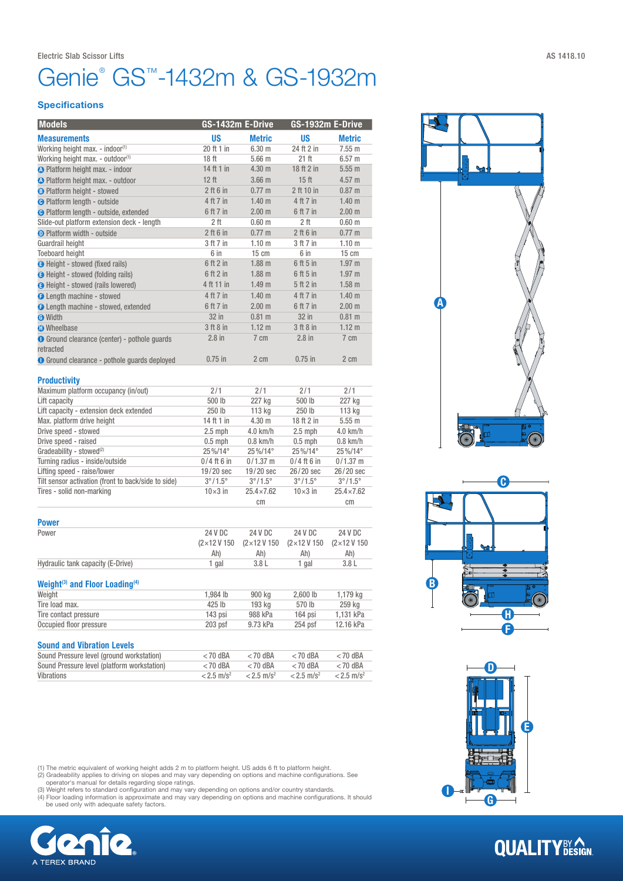### Genie® GS™-1432m & GS-1932m

### **Specifications**

| <b>Models</b>                                       | GS-1432m E-Drive        |                         | GS-1932m E-Drive        |                                |  |
|-----------------------------------------------------|-------------------------|-------------------------|-------------------------|--------------------------------|--|
| <b>Measurements</b>                                 | <b>US</b>               | <b>Metric</b>           | <b>US</b>               | <b>Metric</b>                  |  |
| Working height max. - indoor(1)                     | 20 ft 1 in              | 6.30 <sub>m</sub>       | 24 ft 2 in              | 7.55 m                         |  |
| Working height max. - outdoor(1)                    | 18 <sub>ft</sub>        | 5.66 m                  | 21 ft                   | 6.57 <sub>m</sub>              |  |
| <b>A</b> Platform height max. - indoor              | 14 ft 1 in              | 4.30 m                  | 18 ft 2 in              | 5.55m                          |  |
| <b>A</b> Platform height max. - outdoor             | 12 ft                   | 3.66 <sub>m</sub>       | 15 <sub>ft</sub>        | 4.57 m                         |  |
| <b>B</b> Platform height - stowed                   | $2$ ft 6 in             | $0.77 \text{ m}$        | 2 ft 10 in              | 0.87 m                         |  |
| <b>O</b> Platform length - outside                  | 4 ft 7 in               | 1.40 <sub>m</sub>       | 4 ft 7 in               | 1.40 <sub>m</sub>              |  |
| <b>O</b> Platform length - outside, extended        | 6 ft 7 in               | 2.00 m                  | 6 ft 7 in               | 2.00 m                         |  |
| Slide-out platform extension deck - length          | 2 <sub>ft</sub>         | 0.60 <sub>m</sub>       | 2 <sub>ft</sub>         | 0.60 <sub>m</sub>              |  |
| <b>O</b> Platform width - outside                   | $2$ ft 6 in             | $0.77 \; m$             | $2$ ft 6 in             | $0.77 \;{\rm m}$               |  |
| Guardrail height                                    | 3 ft 7 in               | 1.10 <sub>m</sub>       | 3 ft 7 in               | 1.10 <sub>m</sub>              |  |
| <b>Toeboard height</b>                              | 6 in                    | 15 cm                   | 6 in                    | $15 \text{ cm}$                |  |
| <b>B</b> Height - stowed (fixed rails)              | 6 ft 2 in               | $1.88$ m                | 6 ft 5 in               | 1.97 <sub>m</sub>              |  |
| <b>B</b> Height - stowed (folding rails)            | 6 ft 2 in               | $1.88$ m                | 6 ft 5 in               | 1.97 <sub>m</sub>              |  |
| <b>B</b> Height - stowed (rails lowered)            | 4 ft 11 in              | 1.49 <sub>m</sub>       | 5 ft 2 in               | $1.58$ m                       |  |
| <b>O</b> Length machine - stowed                    | 4 ft 7 in               | 1.40 m                  | 4 ft 7 in               | 1.40 <sub>m</sub>              |  |
| <b>O</b> Length machine - stowed, extended          | 6 ft 7 in               | 2.00 m                  | 6 ft 7 in               | 2.00 m                         |  |
| <b>O</b> Width                                      | 32 in                   | $0.81$ m                | 32 in                   | $0.81$ m                       |  |
| <b>n</b> Wheelbase                                  | 3 ft 8 in               | 1.12 m                  | 3 ft 8 in               | 1.12 m                         |  |
| <b>O</b> Ground clearance (center) - pothole quards | $2.8$ in                | 7 cm                    | $2.8$ in                | $7 \text{ cm}$                 |  |
| retracted                                           |                         |                         |                         |                                |  |
| <b>O</b> Ground clearance - pothole quards deployed | $0.75$ in               | 2 cm                    | $0.75$ in               | 2 cm                           |  |
| <b>Productivity</b>                                 |                         |                         |                         |                                |  |
| Maximum platform occupancy (in/out)                 | 2/1                     | 2/1                     | 2/1                     | 2/1                            |  |
| Lift capacity                                       | 500 lb                  | 227 kg                  | 500 lb                  | 227 kg                         |  |
| Lift capacity - extension deck extended             | 250 lb                  | 113 kg                  | 250 lb                  | 113 kg                         |  |
| Max. platform drive height                          | 14 ft 1 in              | 4.30 m                  | 18 ft 2 in              | 5.55m                          |  |
| Drive speed - stowed                                | $2.5$ mph               | 4.0 km/h                | $2.5$ mph               | 4.0 km/h                       |  |
| Drive speed - raised                                | $0.5$ mph               | $0.8$ km/h              | $0.5$ mph               | $0.8$ km/h                     |  |
| Gradeability - stowed <sup>(2)</sup>                | 25%/14°                 | 25%/14°                 | 25%/14°                 | 25%/14°                        |  |
| Turning radius - inside/outside                     | $0/4$ ft 6 in           | $0/1.37$ m              | $0/4$ ft 6 in           | $0/1.37$ m                     |  |
| Lifting speed - raise/lower                         | $19/20$ sec             | 19/20 sec               | 26/20 sec               | 26/20 sec                      |  |
| Tilt sensor activation (front to back/side to side) | $3^{\circ}/1.5^{\circ}$ | $3^{\circ}/1.5^{\circ}$ | $3^{\circ}/1.5^{\circ}$ | $3^{\circ}/1.5^{\circ}$        |  |
| Tires - solid non-marking                           | $10\times3$ in          | $25.4 \times 7.62$      | $10\times3$ in          | $25.4 \times 7.62$             |  |
|                                                     |                         | cm                      |                         | cm                             |  |
| <b>Power</b>                                        |                         |                         |                         |                                |  |
| Power                                               | 24 V DC                 | 24 V DC                 | 24 V DC                 | 24 V DC                        |  |
|                                                     | (2×12V150               | (2×12V150               | (2×12V150               | $(2 \times 12 \text{ V } 150)$ |  |

|                                   |       | $(2 \times 12 \text{ V } 150 \quad (2 \times 12 \text{ V } 150 \quad (2 \times 12 \text{ V } 150 \quad (2 \times 12 \text{ V } 150))$ |       |       |
|-----------------------------------|-------|---------------------------------------------------------------------------------------------------------------------------------------|-------|-------|
|                                   | Ah)   | Ah)                                                                                                                                   | Ah)   | Ah)   |
| Hydraulic tank capacity (E-Drive) | l gal | 3.8 L                                                                                                                                 | 1 gal | 3.8 L |
|                                   |       |                                                                                                                                       |       |       |

### Weight<sup>(3)</sup> and Floor Loading<sup>(4)</sup>

| Weight                  | 1.984 lb  | 900 kg   | $2,600$ lb | 1.179 ka  |
|-------------------------|-----------|----------|------------|-----------|
| Tire load max.          | 425 lb    | 193 ka   | 570 lb     | 259 kg    |
| Tire contact pressure   | 143 psi   | 988 kPa  | $164$ psi  | 1.131 kPa |
| Occupied floor pressure | $203$ psf | 9.73 kPa | $254$ psf  | 12.16 kPa |

### Sound and Vibration Levels

| Sound Pressure level (ground workstation)   | $<$ 70 dBA               | $<$ 70 dBA               | $<$ 70 dBA               | $<$ 70 dBA               |
|---------------------------------------------|--------------------------|--------------------------|--------------------------|--------------------------|
| Sound Pressure level (platform workstation) | $<$ 70 dBA               | $<$ 70 dBA               | $<$ 70 dBA               | $<$ 70 dBA               |
| Vibrations                                  | $< 2.5$ m/s <sup>2</sup> | $< 2.5$ m/s <sup>2</sup> | $< 2.5$ m/s <sup>2</sup> | $< 2.5$ m/s <sup>2</sup> |

(1) The metric equivalent of working height adds 2 m to platform height. US adds 6 ft to platform height.<br>(2) Gradeability applies to driving on slopes and may vary depending on options and machine configurations. See<br>oper









**QUALITY**BY CON